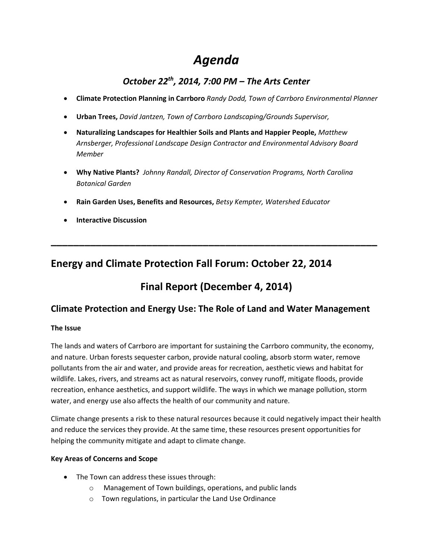# *Agenda*

## *October 22th, 2014, 7:00 PM – The Arts Center*

- **Climate Protection Planning in Carrboro** *Randy Dodd, Town of Carrboro Environmental Planner*
- **Urban Trees,** *David Jantzen, Town of Carrboro Landscaping/Grounds Supervisor,*
- **Naturalizing Landscapes for Healthier Soils and Plants and Happier People,** *Matthew Arnsberger, Professional Landscape Design Contractor and Environmental Advisory Board Member*
- **Why Native Plants?** *Johnny Randall, Director of Conservation Programs, North Carolina Botanical Garden*
- **Rain Garden Uses, Benefits and Resources,** *Betsy Kempter, Watershed Educator*
- **Interactive Discussion**

## **Energy and Climate Protection Fall Forum: October 22, 2014**

# **Final Report (December 4, 2014)**

**\_\_\_\_\_\_\_\_\_\_\_\_\_\_\_\_\_\_\_\_\_\_\_\_\_\_\_\_\_\_\_\_\_\_\_\_\_\_\_\_\_\_\_\_\_\_\_\_\_\_\_\_\_\_\_\_\_\_**

## **Climate Protection and Energy Use: The Role of Land and Water Management**

## **The Issue**

The lands and waters of Carrboro are important for sustaining the Carrboro community, the economy, and nature. Urban forests sequester carbon, provide natural cooling, absorb storm water, remove pollutants from the air and water, and provide areas for recreation, aesthetic views and habitat for wildlife. Lakes, rivers, and streams act as natural reservoirs, convey runoff, mitigate floods, provide recreation, enhance aesthetics, and support wildlife. The ways in which we manage pollution, storm water, and energy use also affects the health of our community and nature.

Climate change presents a risk to these natural resources because it could negatively impact their health and reduce the services they provide. At the same time, these resources present opportunities for helping the community mitigate and adapt to climate change.

## **Key Areas of Concerns and Scope**

- The Town can address these issues through:
	- o Management of Town buildings, operations, and public lands
	- o Town regulations, in particular the Land Use Ordinance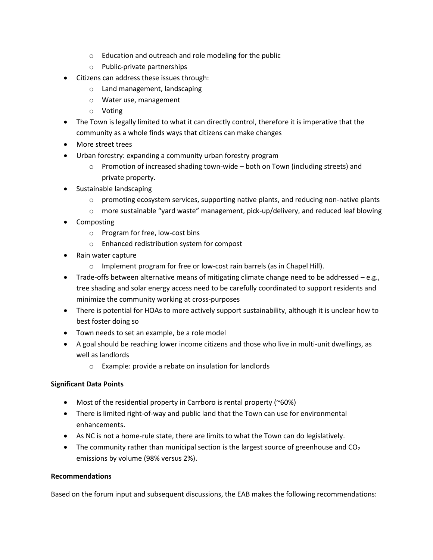- o Education and outreach and role modeling for the public
- o Public-private partnerships
- Citizens can address these issues through:
	- o Land management, landscaping
	- o Water use, management
	- o Voting
- The Town is legally limited to what it can directly control, therefore it is imperative that the community as a whole finds ways that citizens can make changes
- More street trees
- Urban forestry: expanding a community urban forestry program
	- $\circ$  Promotion of increased shading town-wide both on Town (including streets) and private property.
- Sustainable landscaping
	- $\circ$  promoting ecosystem services, supporting native plants, and reducing non-native plants
	- $\circ$  more sustainable "yard waste" management, pick-up/delivery, and reduced leaf blowing
- Composting
	- o Program for free, low-cost bins
	- o Enhanced redistribution system for compost
- Rain water capture
	- o Implement program for free or low-cost rain barrels (as in Chapel Hill).
- $\bullet$  Trade-offs between alternative means of mitigating climate change need to be addressed e.g., tree shading and solar energy access need to be carefully coordinated to support residents and minimize the community working at cross-purposes
- There is potential for HOAs to more actively support sustainability, although it is unclear how to best foster doing so
- Town needs to set an example, be a role model
- A goal should be reaching lower income citizens and those who live in multi-unit dwellings, as well as landlords
	- o Example: provide a rebate on insulation for landlords

## **Significant Data Points**

- Most of the residential property in Carrboro is rental property (~60%)
- There is limited right-of-way and public land that the Town can use for environmental enhancements.
- As NC is not a home-rule state, there are limits to what the Town can do legislatively.
- The community rather than municipal section is the largest source of greenhouse and  $CO<sub>2</sub>$ emissions by volume (98% versus 2%).

## **Recommendations**

Based on the forum input and subsequent discussions, the EAB makes the following recommendations: